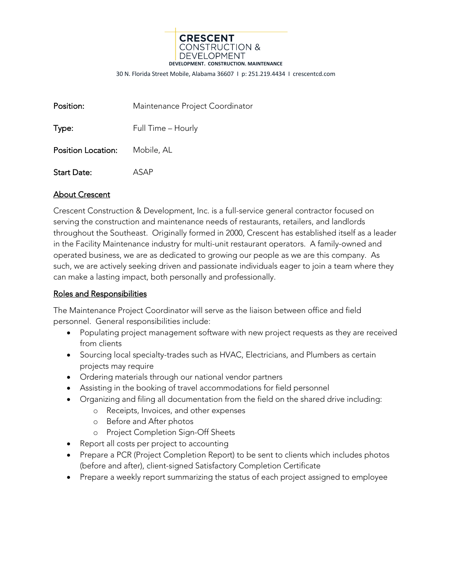

30 N. Florida Street Mobile, Alabama 36607 I p: 251.219.4434 I crescentcd.com

| Position: | Maintenance Project Coordinator |
|-----------|---------------------------------|
| Type:     | Full Time - Hourly              |

Position Location: Mobile, AL

Start Date: ASAP

## About Crescent

Crescent Construction & Development, Inc. is a full-service general contractor focused on serving the construction and maintenance needs of restaurants, retailers, and landlords throughout the Southeast. Originally formed in 2000, Crescent has established itself as a leader in the Facility Maintenance industry for multi-unit restaurant operators. A family-owned and operated business, we are as dedicated to growing our people as we are this company. As such, we are actively seeking driven and passionate individuals eager to join a team where they can make a lasting impact, both personally and professionally.

## Roles and Responsibilities

The Maintenance Project Coordinator will serve as the liaison between office and field personnel. General responsibilities include:

- Populating project management software with new project requests as they are received from clients
- Sourcing local specialty-trades such as HVAC, Electricians, and Plumbers as certain projects may require
- Ordering materials through our national vendor partners
- Assisting in the booking of travel accommodations for field personnel
- Organizing and filing all documentation from the field on the shared drive including:
	- o Receipts, Invoices, and other expenses
	- o Before and After photos
	- o Project Completion Sign-Off Sheets
- Report all costs per project to accounting
- Prepare a PCR (Project Completion Report) to be sent to clients which includes photos (before and after), client-signed Satisfactory Completion Certificate
- Prepare a weekly report summarizing the status of each project assigned to employee